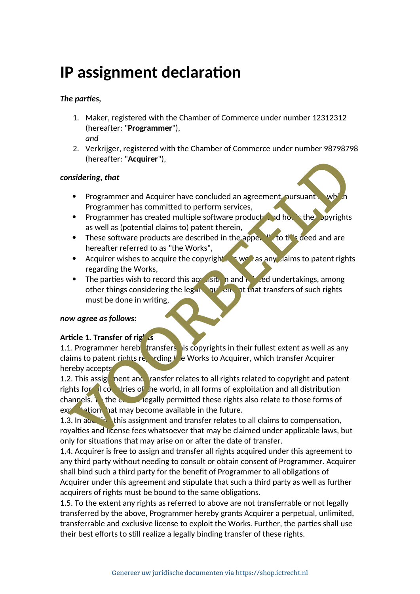# **IP assignment declaration**

## *The parties,*

- 1. Maker, registered with the Chamber of Commerce under number 12312312 (hereafter: "**Programmer**"), *and*
- 2. Verkrijger, registered with the Chamber of Commerce under number 98798798 (hereafter: "**Acquirer**"),

#### *considering, that*

- Programmer and Acquirer have concluded an agreement, pursuant to whi Programmer has committed to perform services,
- Programmer has created multiple software products and holds the copyrights as well as (potential claims to) patent therein,
- These software products are described in the appertuation this deed and are hereafter referred to as "the Works",
- Acquirer wishes to acquire the copyright as any claims to patent rights regarding the Works,
- The parties wish to record this accuration and related undertakings, among other things considering the legal requirement that transfers of such rights must be done in writing,

#### *now agree as follows:*

#### **Article 1. Transfer of rights**

1.1. Programmer hereb**t** transfers is copyrights in their fullest extent as well as any claims to patent rights regarding  $t$  e Works to Acquirer, which transfer Acquirer hereby accepts.

1.2. This assign nent and ransfer relates to all rights related to copyright and patent rights for  $\overline{a}$  countries of the world, in all forms of exploitation and all distribution channels. To the extending permitted these rights also relate to those forms of  $exp<sup>2</sup>$  tation hat may become available in the future. (hereafter: "Acquirer"),<br>
Sidering, that<br>
Programmer and Acquirer have concluded an agreement oursuant<br>
Programmer has committed to perform services,<br>
Programmer has committed to perform services,<br>
Programmer has committed

1.3. In addition this assignment and transfer relates to all claims to compensation, royalties and license fees whatsoever that may be claimed under applicable laws, but only for situations that may arise on or after the date of transfer.

1.4. Acquirer is free to assign and transfer all rights acquired under this agreement to any third party without needing to consult or obtain consent of Programmer. Acquirer shall bind such a third party for the benefit of Programmer to all obligations of Acquirer under this agreement and stipulate that such a third party as well as further acquirers of rights must be bound to the same obligations.

1.5. To the extent any rights as referred to above are not transferrable or not legally transferred by the above, Programmer hereby grants Acquirer a perpetual, unlimited, transferrable and exclusive license to exploit the Works. Further, the parties shall use their best efforts to still realize a legally binding transfer of these rights.